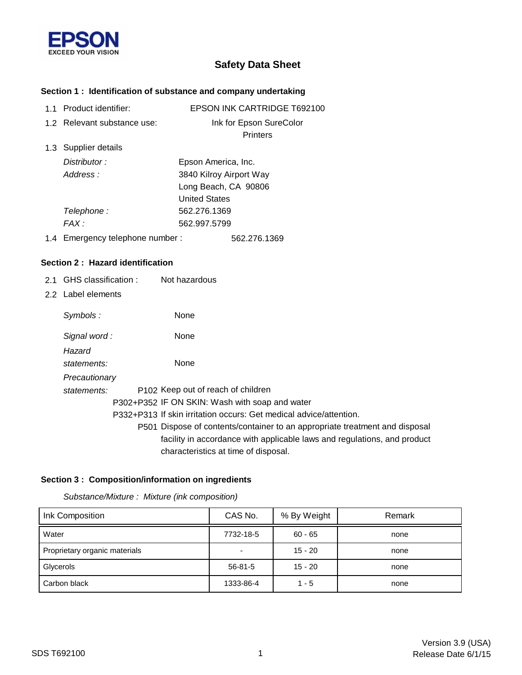

# **Safety Data Sheet**

## **Section 1 : Identification of substance and company undertaking**

|  | 1.1 Product identifier:         | <b>EPSON INK CARTRIDGE T692100</b> |
|--|---------------------------------|------------------------------------|
|  | 1.2 Relevant substance use:     | Ink for Epson SureColor            |
|  |                                 | <b>Printers</b>                    |
|  | 1.3 Supplier details            |                                    |
|  | Distributor:                    | Epson America, Inc.                |
|  | Address:                        | 3840 Kilroy Airport Way            |
|  |                                 | Long Beach, CA 90806               |
|  |                                 | <b>United States</b>               |
|  | Telephone :                     | 562.276.1369                       |
|  | FAX :                           | 562.997.5799                       |
|  | 1.4 Emergency telephone number: | 562.276.1369                       |

### **Section 2 : Hazard identification**

- 2.1 GHS classification : Not hazardous
- 2.2 Label elements

| Symbols:      | None                                                                        |
|---------------|-----------------------------------------------------------------------------|
| Signal word:  | None                                                                        |
| Hazard        |                                                                             |
| statements:   | <b>None</b>                                                                 |
| Precautionary |                                                                             |
| statements:   | P <sub>102</sub> Keep out of reach of children                              |
|               | P302+P352 IF ON SKIN: Wash with soap and water                              |
|               | P332+P313 If skin irritation occurs: Get medical advice/attention.          |
|               | P501 Dispose of contents/container to an appropriate treatment and disposal |
|               | facility in accordance with applicable laws and regulations, and product    |
|               | characteristics at time of disposal.                                        |

### **Section 3 : Composition/information on ingredients**

*Substance/Mixture : Mixture (ink composition)*

| Ink Composition               | CAS No.   | % By Weight | Remark |
|-------------------------------|-----------|-------------|--------|
| Water                         | 7732-18-5 | $60 - 65$   | none   |
| Proprietary organic materials |           | $15 - 20$   | none   |
| Glycerols                     | 56-81-5   | $15 - 20$   | none   |
| Carbon black                  | 1333-86-4 | $1 - 5$     | none   |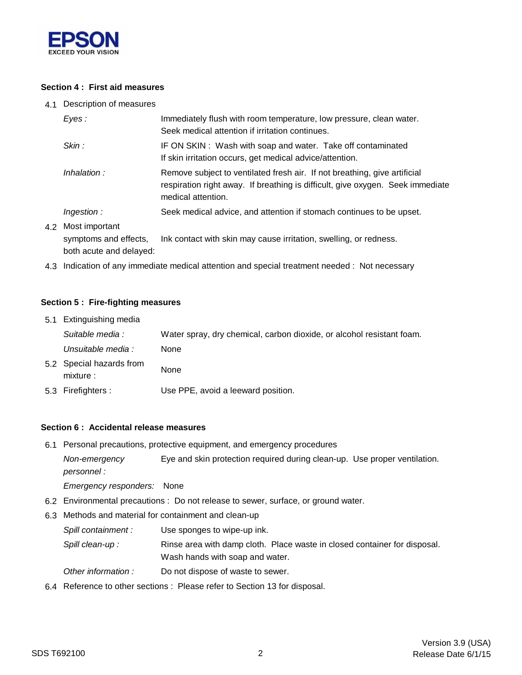

### **Section 4 : First aid measures**

4.1 Description of measures

|                                                                                                                  | Eves :             | Immediately flush with room temperature, low pressure, clean water.<br>Seek medical attention if irritation continues.                                      |  |
|------------------------------------------------------------------------------------------------------------------|--------------------|-------------------------------------------------------------------------------------------------------------------------------------------------------------|--|
| Skin:<br>Inhalation:<br>medical attention.                                                                       |                    | IF ON SKIN: Wash with soap and water. Take off contaminated<br>If skin irritation occurs, get medical advice/attention.                                     |  |
|                                                                                                                  |                    | Remove subject to ventilated fresh air. If not breathing, give artificial<br>respiration right away. If breathing is difficult, give oxygen. Seek immediate |  |
|                                                                                                                  | <i>Ingestion :</i> | Seek medical advice, and attention if stomach continues to be upset.                                                                                        |  |
| 4.2 Most important<br>Ink contact with skin may cause irritation, swelling, or redness.<br>symptoms and effects, |                    |                                                                                                                                                             |  |

both acute and delayed:

4.3 Indication of any immediate medical attention and special treatment needed : Not necessary

#### **Section 5 : Fire-fighting measures**

| 5.1 Extinguishing media               |                                                                       |  |  |
|---------------------------------------|-----------------------------------------------------------------------|--|--|
| Suitable media :                      | Water spray, dry chemical, carbon dioxide, or alcohol resistant foam. |  |  |
| Unsuitable media :                    | None                                                                  |  |  |
| 5.2 Special hazards from<br>mixture : | None                                                                  |  |  |
| 5.3 Firefighters :                    | Use PPE, avoid a leeward position.                                    |  |  |

#### **Section 6 : Accidental release measures**

6.1 Personal precautions, protective equipment, and emergency procedures

*personnel : Non-emergency* Eye and skin protection required during clean-up. Use proper ventilation.

*Emergency responders:* None

- 6.2 Environmental precautions : Do not release to sewer, surface, or ground water.
- 6.3 Methods and material for containment and clean-up
	- *Spill containment :* Use sponges to wipe-up ink.
	- Wash hands with soap and water. Spill clean-up : Rinse area with damp cloth. Place waste in closed container for disposal.
	- *Other information :* Do not dispose of waste to sewer.
- 6.4 Reference to other sections : Please refer to Section 13 for disposal.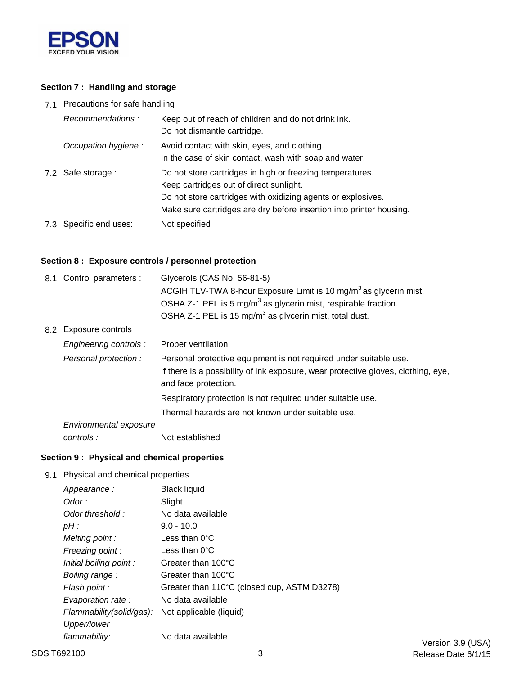

## **Section 7 : Handling and storage**

7.1 Precautions for safe handling

| Recommendations:       | Keep out of reach of children and do not drink ink.<br>Do not dismantle cartridge.                                                                                                                                                          |
|------------------------|---------------------------------------------------------------------------------------------------------------------------------------------------------------------------------------------------------------------------------------------|
| Occupation hygiene:    | Avoid contact with skin, eyes, and clothing.<br>In the case of skin contact, wash with soap and water.                                                                                                                                      |
| 7.2 Safe storage :     | Do not store cartridges in high or freezing temperatures.<br>Keep cartridges out of direct sunlight.<br>Do not store cartridges with oxidizing agents or explosives.<br>Make sure cartridges are dry before insertion into printer housing. |
| 7.3 Specific end uses: | Not specified                                                                                                                                                                                                                               |

## **Section 8 : Exposure controls / personnel protection**

|                        | Glycerols (CAS No. 56-81-5)                                                                                                                                                    |  |
|------------------------|--------------------------------------------------------------------------------------------------------------------------------------------------------------------------------|--|
|                        | ACGIH TLV-TWA 8-hour Exposure Limit is 10 mg/m <sup>3</sup> as glycerin mist.                                                                                                  |  |
|                        | OSHA Z-1 PEL is 5 mg/m <sup>3</sup> as glycerin mist, respirable fraction.                                                                                                     |  |
|                        | OSHA Z-1 PEL is 15 mg/m <sup>3</sup> as glycerin mist, total dust.                                                                                                             |  |
|                        |                                                                                                                                                                                |  |
| Engineering controls : | Proper ventilation                                                                                                                                                             |  |
| Personal protection :  | Personal protective equipment is not required under suitable use.<br>If there is a possibility of ink exposure, wear protective gloves, clothing, eye,<br>and face protection. |  |
|                        | Respiratory protection is not required under suitable use.                                                                                                                     |  |
|                        | Thermal hazards are not known under suitable use.                                                                                                                              |  |
| Environmental exposure |                                                                                                                                                                                |  |
| controls :             | Not established                                                                                                                                                                |  |
|                        | 8.1 Control parameters :<br>8.2 Exposure controls                                                                                                                              |  |

### **Section 9 : Physical and chemical properties**

9.1 Physical and chemical properties

| Appearance:              | Black liquid                                |
|--------------------------|---------------------------------------------|
| Odor :                   | Slight                                      |
| Odor threshold:          | No data available                           |
| pH :                     | $9.0 - 10.0$                                |
| Melting point:           | Less than $0^{\circ}$ C                     |
| Freezing point:          | Less than $0^{\circ}$ C                     |
| Initial boiling point:   | Greater than 100°C                          |
| Boiling range:           | Greater than 100°C                          |
| Flash point :            | Greater than 110°C (closed cup, ASTM D3278) |
| Evaporation rate:        | No data available                           |
| Flammability(solid/gas): | Not applicable (liquid)                     |
| Upper/lower              |                                             |
| flammability:            | No data available                           |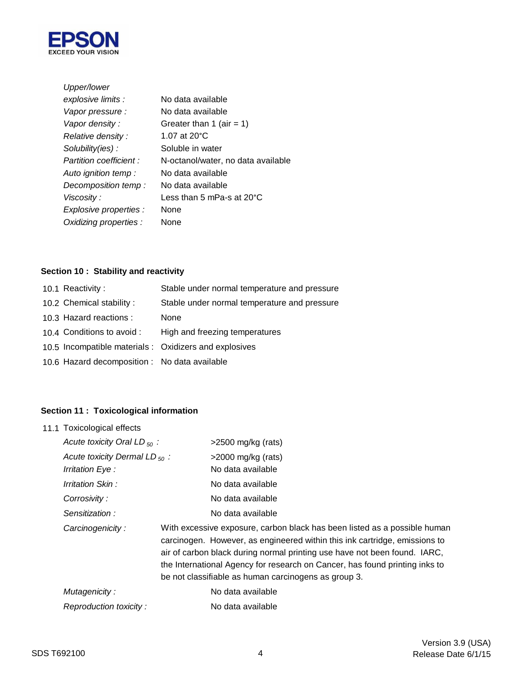

| Upper/lower             |                                      |
|-------------------------|--------------------------------------|
| explosive limits :      | No data available                    |
| Vapor pressure :        | No data available                    |
| Vapor density :         | Greater than 1 (air = 1)             |
| Relative density :      | 1.07 at $20^{\circ}$ C               |
| Solubility(ies):        | Soluble in water                     |
| Partition coefficient : | N-octanol/water, no data available   |
| Auto ignition temp :    | No data available                    |
| Decomposition temp:     | No data available                    |
| Viscosity :             | Less than 5 mPa-s at 20 $^{\circ}$ C |
| Explosive properties :  | <b>None</b>                          |
| Oxidizing properties :  | None                                 |
|                         |                                      |

## **Section 10 : Stability and reactivity**

| 10.1 Reactivity:                              | Stable under normal temperature and pressure           |
|-----------------------------------------------|--------------------------------------------------------|
| 10.2 Chemical stability:                      | Stable under normal temperature and pressure           |
| 10.3 Hazard reactions :                       | None                                                   |
| 10.4 Conditions to avoid :                    | High and freezing temperatures                         |
|                                               | 10.5 Incompatible materials : Oxidizers and explosives |
| 10.6 Hazard decomposition : No data available |                                                        |

## **Section 11 : Toxicological information**

| 11.1 Toxicological effects         |                                                                                                                                                                                                                                                                                                                                                                             |
|------------------------------------|-----------------------------------------------------------------------------------------------------------------------------------------------------------------------------------------------------------------------------------------------------------------------------------------------------------------------------------------------------------------------------|
| Acute toxicity Oral LD $_{50}$ :   | >2500 mg/kg (rats)                                                                                                                                                                                                                                                                                                                                                          |
| Acute toxicity Dermal LD $_{50}$ : | $>$ 2000 mg/kg (rats)                                                                                                                                                                                                                                                                                                                                                       |
| Irritation Eye :                   | No data available                                                                                                                                                                                                                                                                                                                                                           |
| Irritation Skin :                  | No data available                                                                                                                                                                                                                                                                                                                                                           |
| Corrosivity:                       | No data available                                                                                                                                                                                                                                                                                                                                                           |
| Sensitization:                     | No data available                                                                                                                                                                                                                                                                                                                                                           |
| Carcinogenicity:                   | With excessive exposure, carbon black has been listed as a possible human<br>carcinogen. However, as engineered within this ink cartridge, emissions to<br>air of carbon black during normal printing use have not been found. IARC,<br>the International Agency for research on Cancer, has found printing inks to<br>be not classifiable as human carcinogens as group 3. |
| Mutagenicity:                      | No data available                                                                                                                                                                                                                                                                                                                                                           |
| Reproduction toxicity:             | No data available                                                                                                                                                                                                                                                                                                                                                           |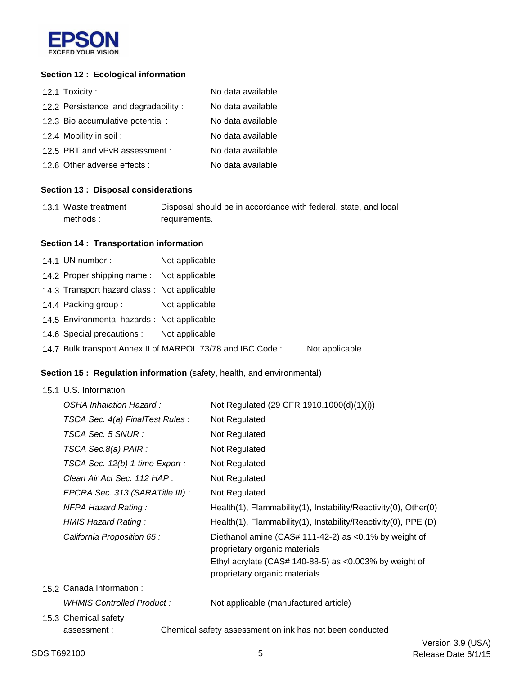

### **Section 12 : Ecological information**

| 12.1 Toxicity:                      | No data available |
|-------------------------------------|-------------------|
| 12.2 Persistence and degradability: | No data available |
| 12.3 Bio accumulative potential :   | No data available |
| 12.4 Mobility in soil:              | No data available |
| 12.5 PBT and vPvB assessment :      | No data available |
| 12.6 Other adverse effects :        | No data available |

#### **Section 13 : Disposal considerations**

| 13.1 Waste treatment | Disposal should be in accordance with federal, state, and local |
|----------------------|-----------------------------------------------------------------|
| methods:             | requirements.                                                   |

#### **Section 14 : Transportation information**

14.1 UN number: 14.2 Proper shipping name : Not applicable 14.3 Transport hazard class : Not applicable 14.4 Packing group : Not applicable 14.5 Environmental hazards : Not applicable 14.6 Special precautions : Not applicable 14.7 Bulk transport Annex II of MARPOL 73/78 and IBC Code : Not applicable Not applicable

### **Section 15 : Regulation information** (safety, health, and environmental)

|  | 15.1 U.S. Information            |                                                                                            |
|--|----------------------------------|--------------------------------------------------------------------------------------------|
|  | OSHA Inhalation Hazard:          | Not Regulated (29 CFR 1910.1000(d)(1)(i))                                                  |
|  | TSCA Sec. 4(a) FinalTest Rules : | Not Regulated                                                                              |
|  | TSCA Sec. 5 SNUR :               | Not Regulated                                                                              |
|  | TSCA Sec.8(a) PAIR :             | Not Regulated                                                                              |
|  | TSCA Sec. 12(b) 1-time Export :  | Not Regulated                                                                              |
|  | Clean Air Act Sec. 112 HAP :     | Not Regulated                                                                              |
|  | EPCRA Sec. 313 (SARATitle III) : | Not Regulated                                                                              |
|  | <b>NFPA Hazard Rating:</b>       | Health(1), Flammability(1), Instability/Reactivity(0), Other(0)                            |
|  | HMIS Hazard Rating:              | Health(1), Flammability(1), Instability/Reactivity(0), PPE (D)                             |
|  | California Proposition 65 :      | Diethanol amine (CAS# 111-42-2) as < $0.1\%$ by weight of<br>proprietary organic materials |
|  |                                  | Ethyl acrylate (CAS# 140-88-5) as <0.003% by weight of<br>proprietary organic materials    |
|  | 15.2 Canada Information :        |                                                                                            |
|  | WHMIS Controlled Product:        | Not applicable (manufactured article)                                                      |
|  | 15.3 Chemical safety             |                                                                                            |
|  | assessment:                      | Chemical safety assessment on ink has not been conducted                                   |